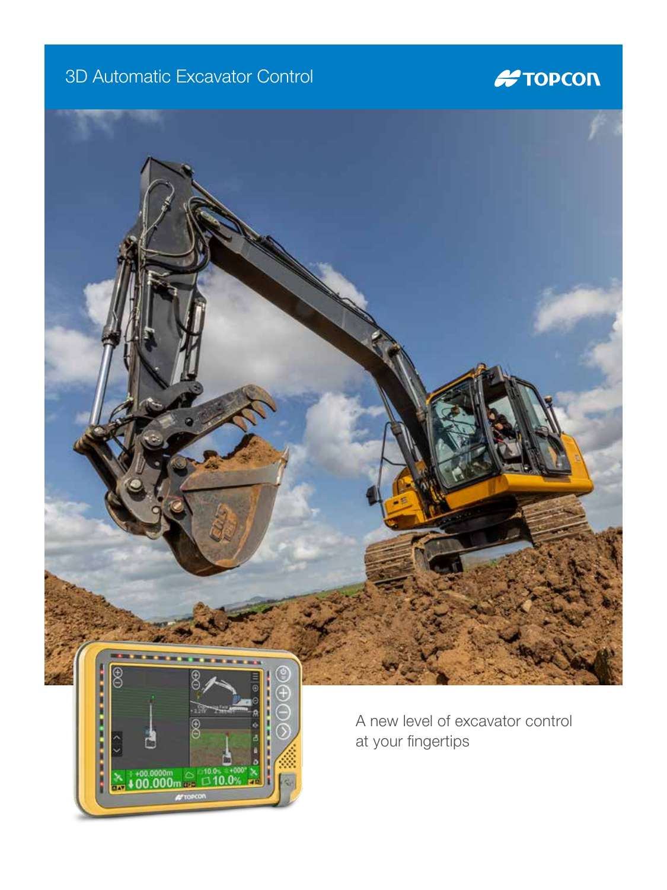### 3D Automatic Excavator Control

**RE** 

### **#TOPCON**



at your fingertips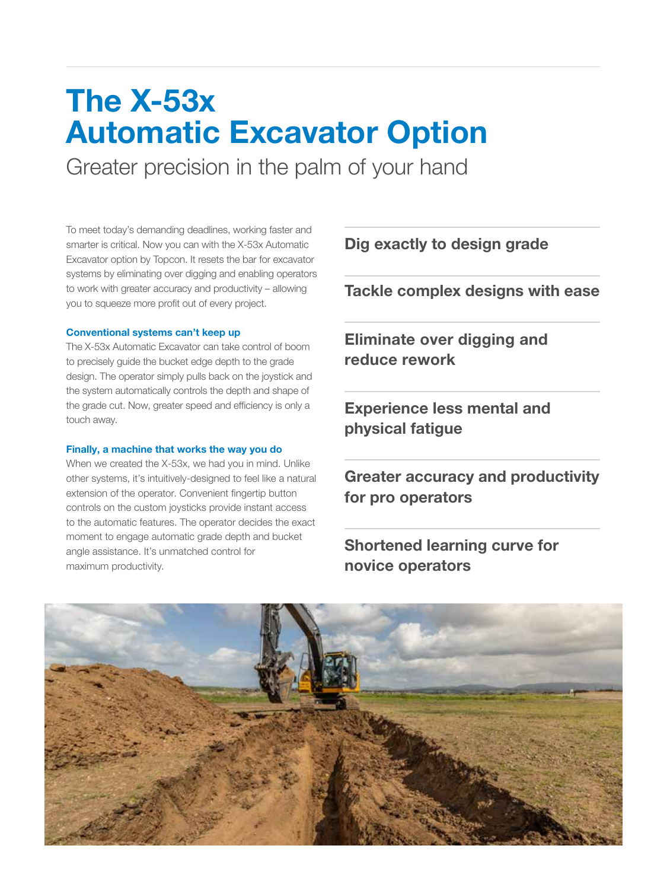## The X-53x Automatic Excavator Option

Greater precision in the palm of your hand

To meet today's demanding deadlines, working faster and smarter is critical. Now you can with the X-53x Automatic Excavator option by Topcon. It resets the bar for excavator systems by eliminating over digging and enabling operators to work with greater accuracy and productivity – allowing you to squeeze more profit out of every project.

### Conventional systems can't keep up

The X-53x Automatic Excavator can take control of boom to precisely guide the bucket edge depth to the grade design. The operator simply pulls back on the joystick and the system automatically controls the depth and shape of the grade cut. Now, greater speed and efficiency is only a touch away.

### Finally, a machine that works the way you do

When we created the X-53x, we had you in mind. Unlike other systems, it's intuitively-designed to feel like a natural extension of the operator. Convenient fingertip button controls on the custom joysticks provide instant access to the automatic features. The operator decides the exact moment to engage automatic grade depth and bucket angle assistance. It's unmatched control for maximum productivity.

Dig exactly to design grade

Tackle complex designs with ease

Eliminate over digging and reduce rework

Experience less mental and physical fatigue

Greater accuracy and productivity for pro operators

Shortened learning curve for novice operators

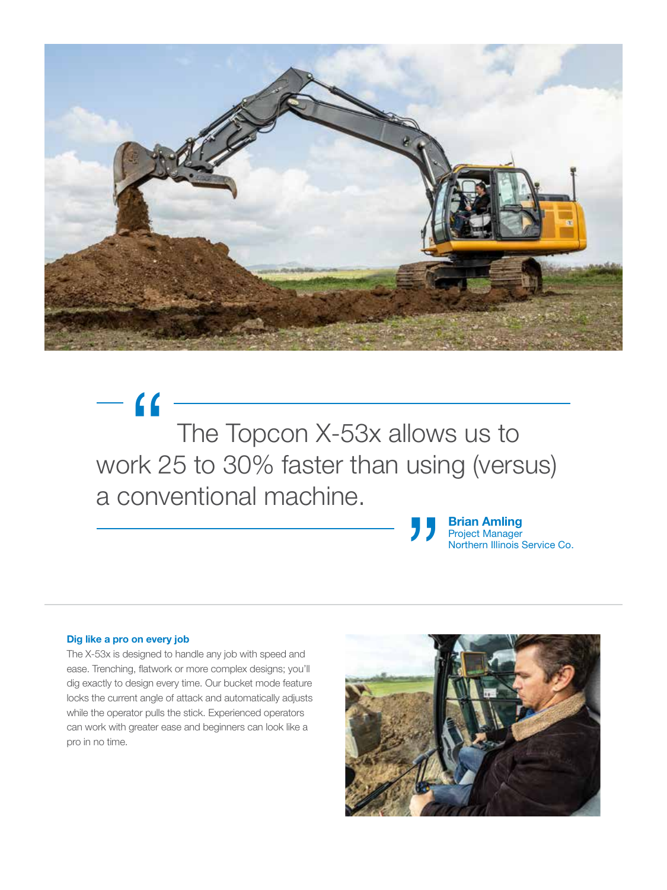

 The Topcon X-53x allows us to The Topcon X-53x allows us to<br>work 25 to 30% faster than using (versus) a conventional machine.

Brian Amling Project Manager Northern Illinois Service Co. "<br>"<br>"

#### Dig like a pro on every job

The X-53x is designed to handle any job with speed and ease. Trenching, flatwork or more complex designs; you'll dig exactly to design every time. Our bucket mode feature locks the current angle of attack and automatically adjusts while the operator pulls the stick. Experienced operators can work with greater ease and beginners can look like a pro in no time.